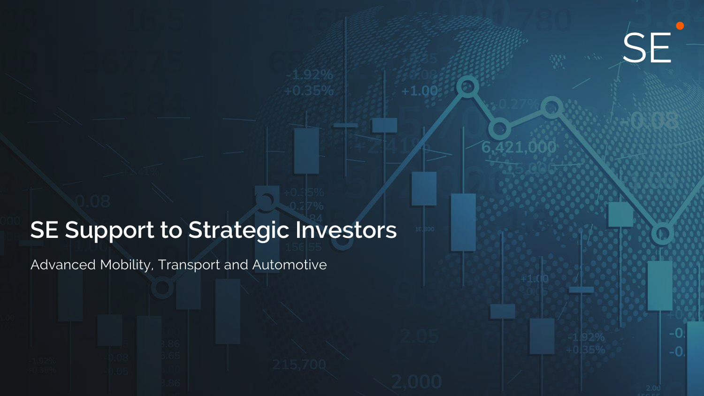# **SE Support to Strategic Investors**

 $+1.00$ 

`F

-0

Advanced Mobility, Transport and Automotive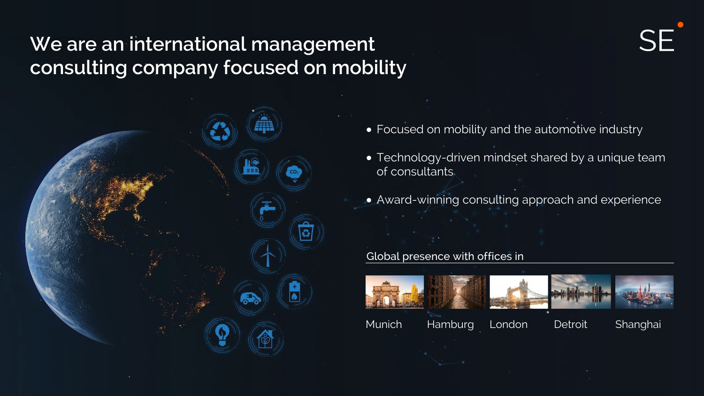# **We are an international management consulting company focused on mobility**



- Focused on mobility and the automotive industry
- Technology-driven mindset shared by a unique team of consultants
- Award-winning consulting approach and experience

# Global presence with offices in











Munich Hamburg London Detroit Shanghai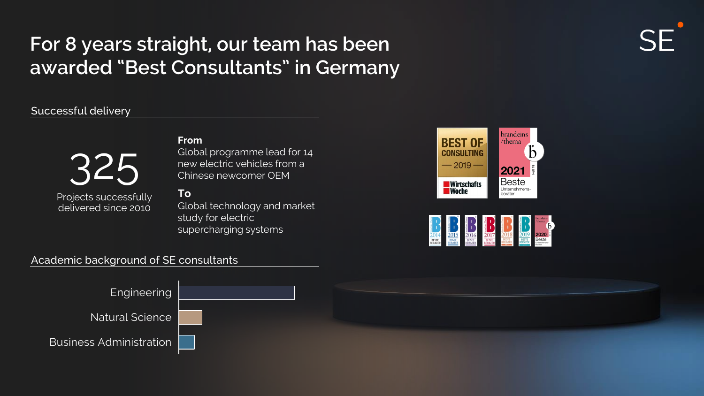# **For 8 years straight, our team has been awarded "Best Consultants" in Germany**

# Successful delivery

# 32

Projects successfully delivered since 2010

# **From**

Global programme lead for 14 new electric vehicles from a Chinese newcomer OEM

# **To**

Global technology and market study for electric supercharging systems

# Academic background of SE consultants





| <b>BESTE</b><br><b>BESTE</b><br><b>BESTE</b><br><b>BERATER</b><br><b>BERATER</b><br><b>BERATER</b> | <b>BESTE</b><br>RATER | c<br>201<br><b>JESTE</b><br><b>BESTE</b><br><b>BERATER</b><br><b>Secure</b> | thema<br><br>2020<br>Beste<br>benter |
|----------------------------------------------------------------------------------------------------|-----------------------|-----------------------------------------------------------------------------|--------------------------------------|
|----------------------------------------------------------------------------------------------------|-----------------------|-----------------------------------------------------------------------------|--------------------------------------|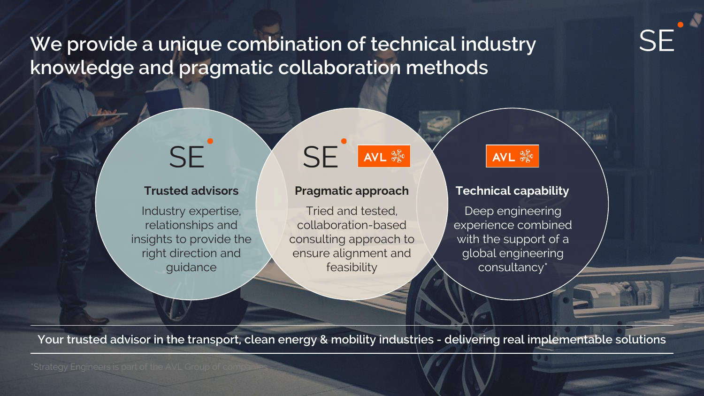# **We provide a unique combination of technical industry knowledge and pragmatic collaboration methods**



feasibility

experience combined with the support of a global engineering consultancy\*

**SF** 

**Your trusted advisor in the transport, clean energy & mobility industries - delivering real implementable solutions**

guidance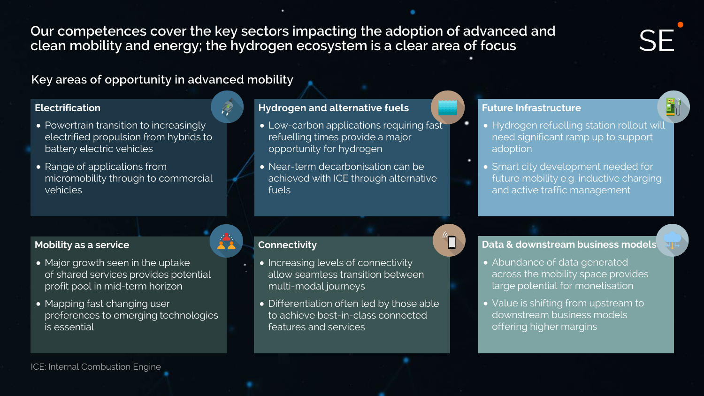**Our competences cover the key sectors impacting the adoption of advanced and clean mobility and energy; the hydrogen ecosystem is a clear area of focus**

**Key areas of opportunity in advanced mobility**

摩

**S.** 

### **Electrification**

- Powertrain transition to increasingly electrified propulsion from hybrids to battery electric vehicles
- Range of applications from micromobility through to commercial vehicles

### **Mobility as a service**

- Major growth seen in the uptake of shared services provides potential profit pool in mid-term horizon
- Mapping fast changing user preferences to emerging technologies is essential

# **Hydrogen and alternative fuels**

- Low-carbon applications requiring fast refuelling times provide a major opportunity for hydrogen
- Near-term decarbonisation can be achieved with ICE through alternative fuels

### **Connectivity**

- Increasing levels of connectivity allow seamless transition between multi-modal journeys
- Differentiation often led by those able to achieve best-in-class connected features and services

**Future Infrastructure**

- Hydrogen refuelling station rollout will need significant ramp up to support adoption
- Smart city development needed for future mobility e.g. inductive charging and active traffic management

### **Data & downstream business models**

- Abundance of data generated across the mobility space provides large potential for monetisation
- Value is shifting from upstream to downstream business models offering higher margins

ICE: Internal Combustion Engine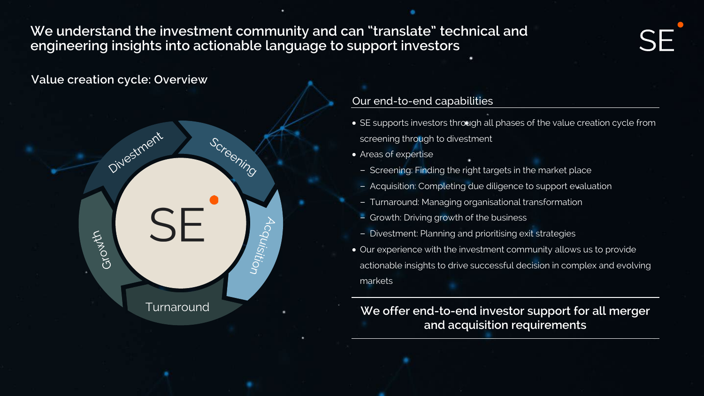**We understand the investment community and can "translate" technical and engineering insights into actionable language to support investors**

Screening

<sup>l</sup>cquisition

**Value creation cycle: Overview**

Divestment

Grouth

### Our end-to-end capabilities

- SE supports investors through all phases of the value creation cycle from screening through to divestment
- Areas of expertise
	- Screening: Finding the right targets in the market place
	- Acquisition: Completing due diligence to support evaluation
	- Turnaround: Managing organisational transformation
	- Growth: Driving growth of the business
	- Divestment: Planning and prioritising exit strategies
- Our experience with the investment community allows us to provide actionable insights to drive successful decision in complex and evolving markets

# Turnaround **We offer end-to-end investor support for all merger and acquisition requirements**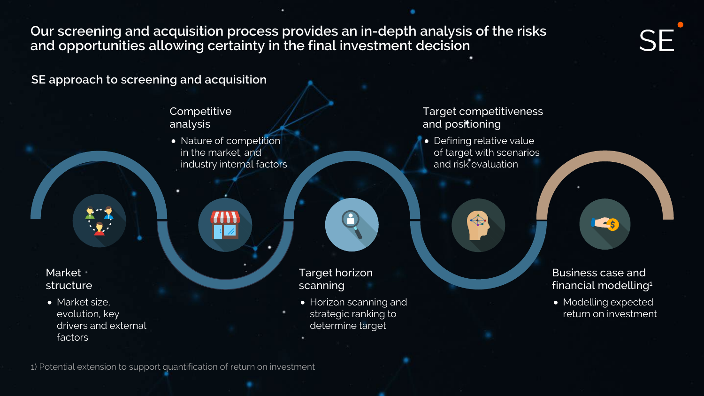**Our screening and acquisition process provides an in-depth analysis of the risks and opportunities allowing certainty in the final investment decision**

**SE approach to screening and acquisition** 

**Competitive** analysis

• Nature of competition in the market, and industry internal factors

Market \* structure

• Market size, evolution, key drivers and external factors

Target horizon scanning

• Horizon scanning and strategic ranking to determine target

Target competitiveness and positioning

• Defining relative value of target with scenarios and risk evaluation

> Business case and financial modelling1

 $\sim$   $\sim$ 

• Modelling expected return on investment

1) Potential extension to support quantification of return on investment